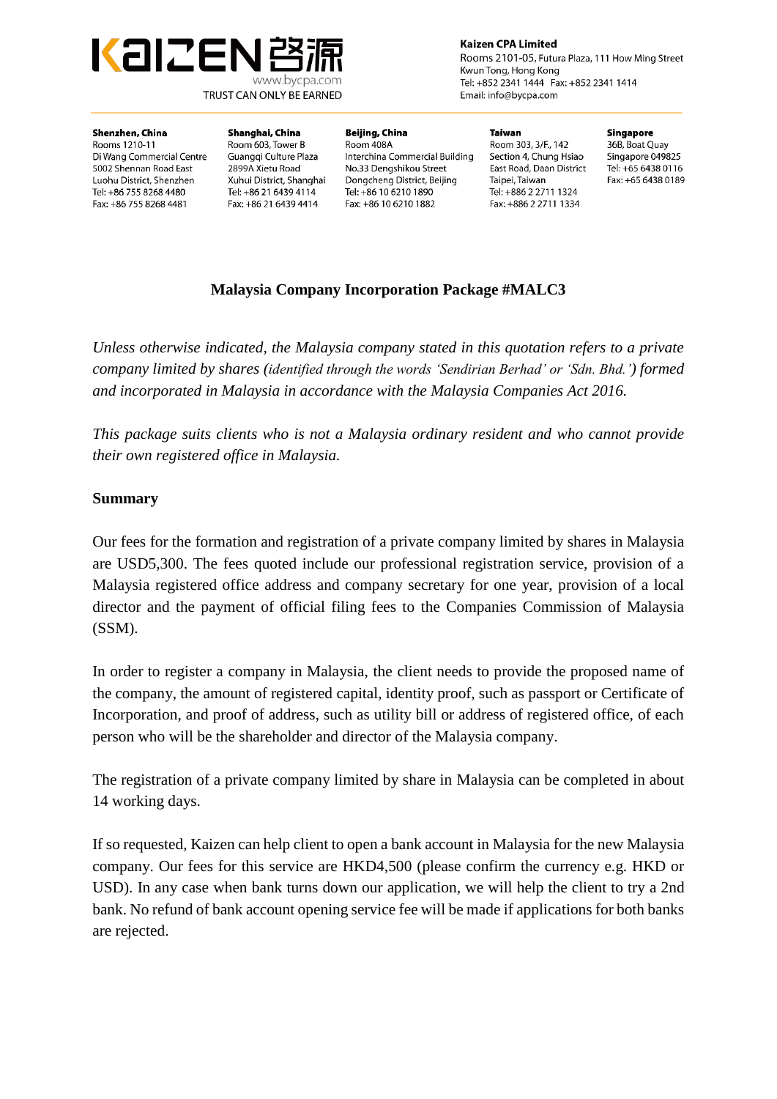

**Kaizen CPA Limited** Rooms 2101-05, Futura Plaza, 111 How Ming Street

Kwun Tong, Hong Kong Tel: +852 2341 1444 Fax: +852 2341 1414 Email: info@bycpa.com

#### Shenzhen, China

Rooms 1210-11 Di Wang Commercial Centre 5002 Shennan Road East Luohu District, Shenzhen Tel: +86 755 8268 4480 Fax: +86 755 8268 4481

Shanghai, China Room 603. Tower B Guanggi Culture Plaza 2899A Xietu Road Xuhui District, Shanghai Tel: +86 21 6439 4114 Fax: +86 21 6439 4414

Beijing, China Room 408A Interchina Commercial Building No.33 Dengshikou Street Dongcheng District, Beijing Tel: +86 10 6210 1890 Fax: +86 10 6210 1882

**Taiwan** Room 303, 3/F., 142 Section 4, Chung Hsiao East Road, Daan District Taipei, Taiwan Tel: +886 2 2711 1324 Fax: +886 2 2711 1334

Singapore

36B. Boat Ouav Singapore 049825 Tel: +65 6438 0116 Fax: +65 6438 0189

# **Malaysia Company Incorporation Package #MALC3**

*Unless otherwise indicated, the Malaysia company stated in this quotation refers to a private company limited by shares (identified through the words 'Sendirian Berhad' or 'Sdn. Bhd.') formed and incorporated in Malaysia in accordance with the Malaysia Companies Act 2016.*

*This package suits clients who is not a Malaysia ordinary resident and who cannot provide their own registered office in Malaysia.* 

#### **Summary**

Our fees for the formation and registration of a private company limited by shares in Malaysia are USD5,300. The fees quoted include our professional registration service, provision of a Malaysia registered office address and company secretary for one year, provision of a local director and the payment of official filing fees to the Companies Commission of Malaysia (SSM).

In order to register a company in Malaysia, the client needs to provide the proposed name of the company, the amount of registered capital, identity proof, such as passport or Certificate of Incorporation, and proof of address, such as utility bill or address of registered office, of each person who will be the shareholder and director of the Malaysia company.

The registration of a private company limited by share in Malaysia can be completed in about 14 working days.

If so requested, Kaizen can help client to open a bank account in Malaysia for the new Malaysia company. Our fees for this service are HKD4,500 (please confirm the currency e.g. HKD or USD). In any case when bank turns down our application, we will help the client to try a 2nd bank. No refund of bank account opening service fee will be made if applications for both banks are rejected.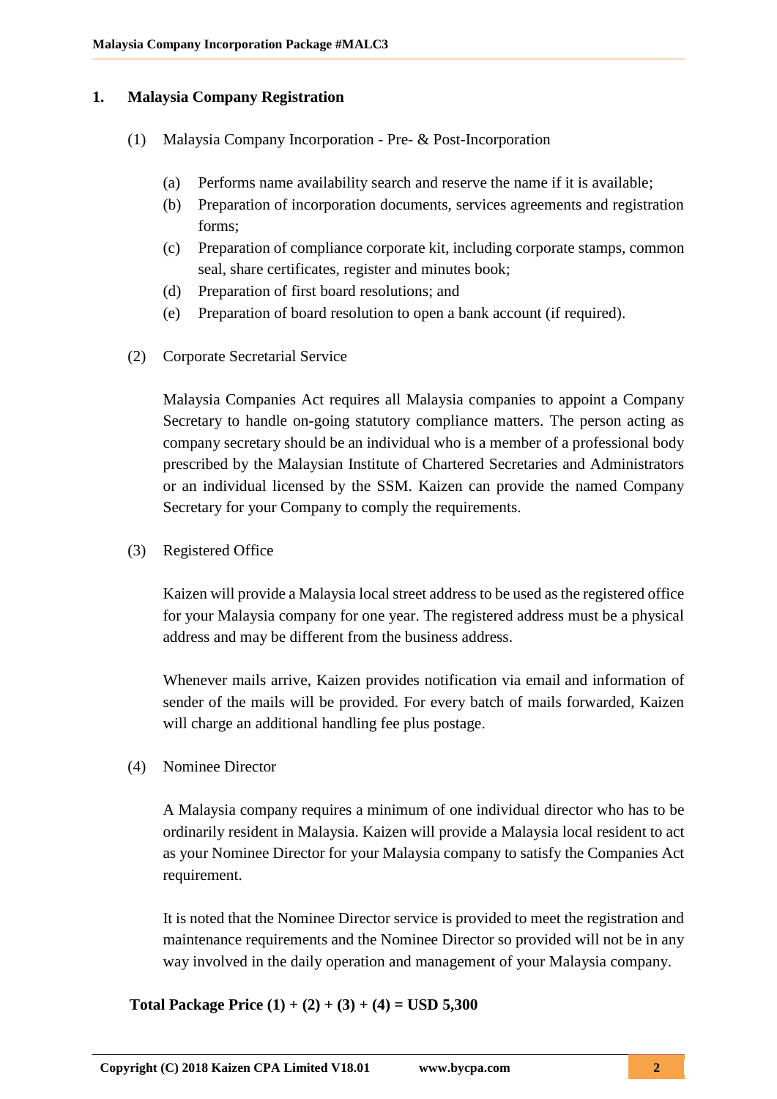#### **1. Malaysia Company Registration**

- (1) Malaysia Company Incorporation Pre- & Post-Incorporation
	- (a) Performs name availability search and reserve the name if it is available;
	- (b) Preparation of incorporation documents, services agreements and registration forms;
	- (c) Preparation of compliance corporate kit, including corporate stamps, common seal, share certificates, register and minutes book;
	- (d) Preparation of first board resolutions; and
	- (e) Preparation of board resolution to open a bank account (if required).
- (2) Corporate Secretarial Service

Malaysia Companies Act requires all Malaysia companies to appoint a Company Secretary to handle on-going statutory compliance matters. The person acting as company secretary should be an individual who is a member of a professional body prescribed by the Malaysian Institute of Chartered Secretaries and Administrators or an individual licensed by the SSM. Kaizen can provide the named Company Secretary for your Company to comply the requirements.

(3) Registered Office

Kaizen will provide a Malaysia local street address to be used as the registered office for your Malaysia company for one year. The registered address must be a physical address and may be different from the business address.

Whenever mails arrive, Kaizen provides notification via email and information of sender of the mails will be provided. For every batch of mails forwarded, Kaizen will charge an additional handling fee plus postage.

(4) Nominee Director

A Malaysia company requires a minimum of one individual director who has to be ordinarily resident in Malaysia. Kaizen will provide a Malaysia local resident to act as your Nominee Director for your Malaysia company to satisfy the Companies Act requirement.

It is noted that the Nominee Director service is provided to meet the registration and maintenance requirements and the Nominee Director so provided will not be in any way involved in the daily operation and management of your Malaysia company.

**Total Package Price (1) + (2) + (3) + (4) = USD 5,300**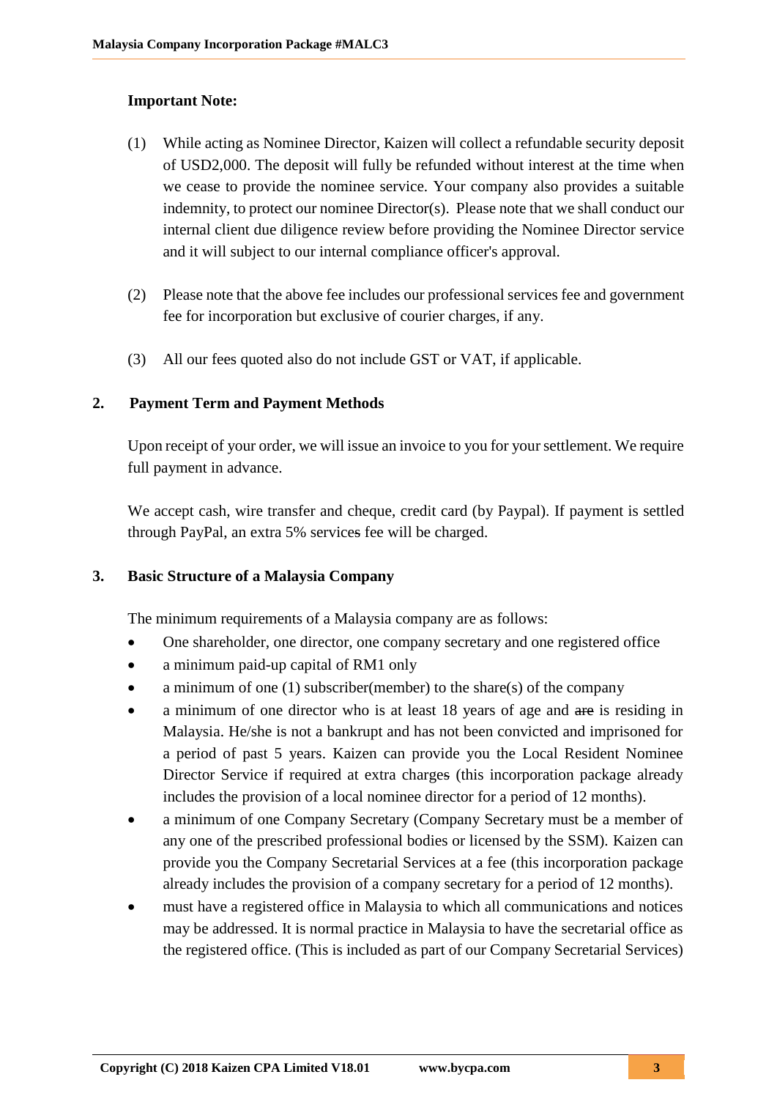## **Important Note:**

- (1) While acting as Nominee Director, Kaizen will collect a refundable security deposit of USD2,000. The deposit will fully be refunded without interest at the time when we cease to provide the nominee service. Your company also provides a suitable indemnity, to protect our nominee Director(s). Please note that we shall conduct our internal client due diligence review before providing the Nominee Director service and it will subject to our internal compliance officer's approval.
- (2) Please note that the above fee includes our professional services fee and government fee for incorporation but exclusive of courier charges, if any.
- (3) All our fees quoted also do not include GST or VAT, if applicable.

## **2. Payment Term and Payment Methods**

Upon receipt of your order, we will issue an invoice to you for your settlement. We require full payment in advance.

We accept cash, wire transfer and cheque, credit card (by Paypal). If payment is settled through PayPal, an extra 5% services fee will be charged.

#### **3. Basic Structure of a Malaysia Company**

The minimum requirements of a Malaysia company are as follows:

- One shareholder, one director, one company secretary and one registered office
- a minimum paid-up capital of RM1 only
- a minimum of one (1) subscriber(member) to the share(s) of the company
- a minimum of one director who is at least 18 years of age and are is residing in Malaysia. He/she is not a bankrupt and has not been convicted and imprisoned for a period of past 5 years. Kaizen can provide you the Local Resident Nominee Director Service if required at extra charges (this incorporation package already includes the provision of a local nominee director for a period of 12 months).
- a minimum of one Company Secretary (Company Secretary must be a member of any one of the prescribed professional bodies or licensed by the SSM). Kaizen can provide you the Company Secretarial Services at a fee (this incorporation package already includes the provision of a company secretary for a period of 12 months).
- must have a registered office in Malaysia to which all communications and notices may be addressed. It is normal practice in Malaysia to have the secretarial office as the registered office. (This is included as part of our Company Secretarial Services)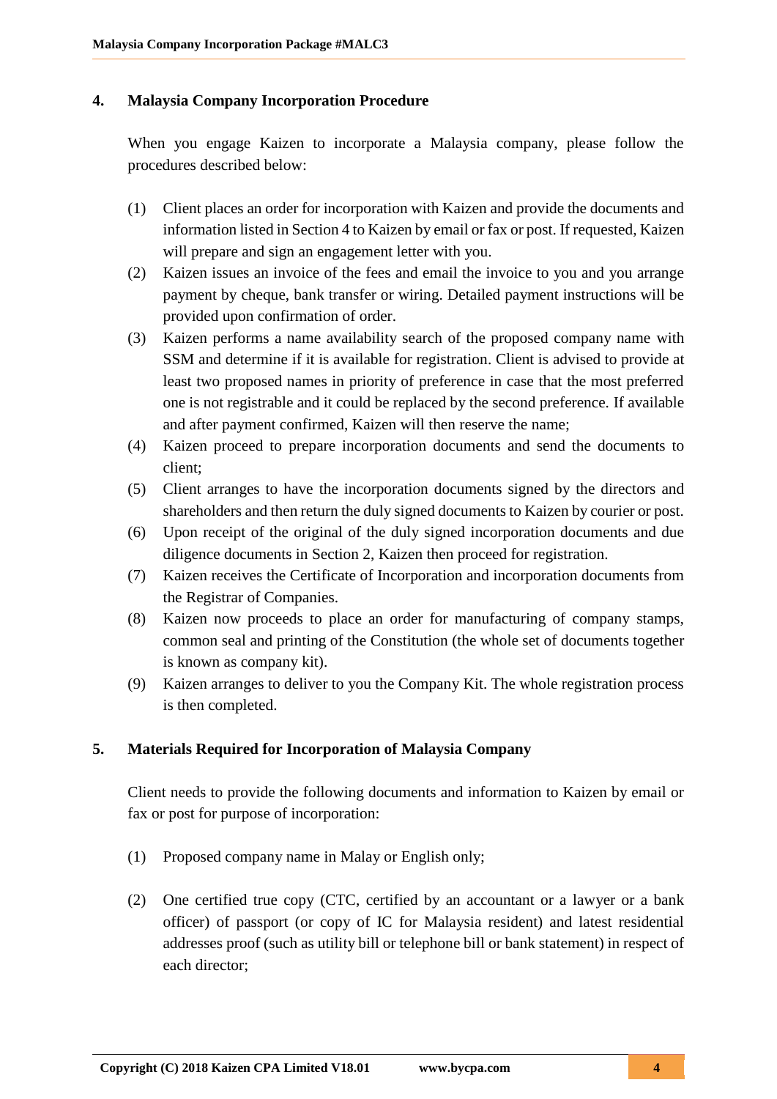## **4. Malaysia Company Incorporation Procedure**

When you engage Kaizen to incorporate a Malaysia company, please follow the procedures described below:

- (1) Client places an order for incorporation with Kaizen and provide the documents and information listed in Section 4 to Kaizen by email or fax or post. If requested, Kaizen will prepare and sign an engagement letter with you.
- (2) Kaizen issues an invoice of the fees and email the invoice to you and you arrange payment by cheque, bank transfer or wiring. Detailed payment instructions will be provided upon confirmation of order.
- (3) Kaizen performs a name availability search of the proposed company name with SSM and determine if it is available for registration. Client is advised to provide at least two proposed names in priority of preference in case that the most preferred one is not registrable and it could be replaced by the second preference. If available and after payment confirmed, Kaizen will then reserve the name;
- (4) Kaizen proceed to prepare incorporation documents and send the documents to client;
- (5) Client arranges to have the incorporation documents signed by the directors and shareholders and then return the duly signed documents to Kaizen by courier or post.
- (6) Upon receipt of the original of the duly signed incorporation documents and due diligence documents in Section 2, Kaizen then proceed for registration.
- (7) Kaizen receives the Certificate of Incorporation and incorporation documents from the Registrar of Companies.
- (8) Kaizen now proceeds to place an order for manufacturing of company stamps, common seal and printing of the Constitution (the whole set of documents together is known as company kit).
- (9) Kaizen arranges to deliver to you the Company Kit. The whole registration process is then completed.

## **5. Materials Required for Incorporation of Malaysia Company**

Client needs to provide the following documents and information to Kaizen by email or fax or post for purpose of incorporation:

- (1) Proposed company name in Malay or English only;
- (2) One certified true copy (CTC, certified by an accountant or a lawyer or a bank officer) of passport (or copy of IC for Malaysia resident) and latest residential addresses proof (such as utility bill or telephone bill or bank statement) in respect of each director;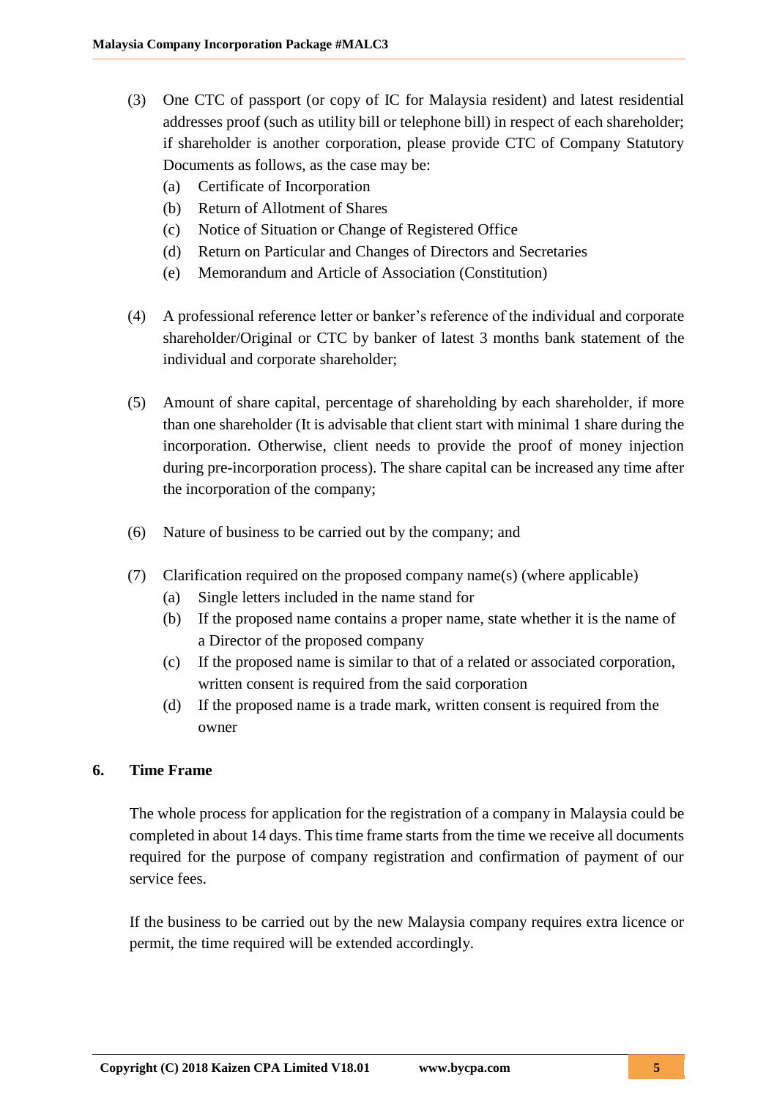- (3) One CTC of passport (or copy of IC for Malaysia resident) and latest residential addresses proof (such as utility bill or telephone bill) in respect of each shareholder; if shareholder is another corporation, please provide CTC of Company Statutory Documents as follows, as the case may be:
	- (a) Certificate of Incorporation
	- (b) Return of Allotment of Shares
	- (c) Notice of Situation or Change of Registered Office
	- (d) Return on Particular and Changes of Directors and Secretaries
	- (e) Memorandum and Article of Association (Constitution)
- (4) A professional reference letter or banker's reference of the individual and corporate shareholder/Original or CTC by banker of latest 3 months bank statement of the individual and corporate shareholder;
- (5) Amount of share capital, percentage of shareholding by each shareholder, if more than one shareholder (It is advisable that client start with minimal 1 share during the incorporation. Otherwise, client needs to provide the proof of money injection during pre-incorporation process). The share capital can be increased any time after the incorporation of the company;
- (6) Nature of business to be carried out by the company; and
- (7) Clarification required on the proposed company name(s) (where applicable)
	- (a) Single letters included in the name stand for
	- (b) If the proposed name contains a proper name, state whether it is the name of a Director of the proposed company
	- (c) If the proposed name is similar to that of a related or associated corporation, written consent is required from the said corporation
	- (d) If the proposed name is a trade mark, written consent is required from the owner

### **6. Time Frame**

The whole process for application for the registration of a company in Malaysia could be completed in about 14 days. This time frame starts from the time we receive all documents required for the purpose of company registration and confirmation of payment of our service fees.

If the business to be carried out by the new Malaysia company requires extra licence or permit, the time required will be extended accordingly.